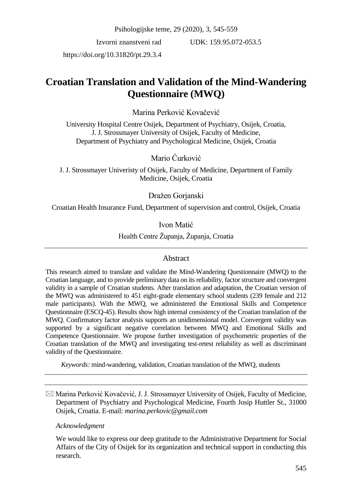Psihologijske teme, 29 (2020), 3, 545-559

Izvorni znanstveni rad

 $UDK: 159.95.072-053.5$ 

https://doi.org/10.31820/pt.29.3.4

# **Croatian Translation and Validation of the Mind-Wandering Questionnaire (MWQ)**

Marina Perković Kovačević

University Hospital Centre Osijek, Department of Psychiatry, Osijek, Croatia, J. J. Strossmayer University of Osijek, Faculty of Medicine, Department of Psychiatry and Psychological Medicine, Osijek, Croatia

Mario Ćurković

J. J. Strossmayer Univeristy of Osijek, Faculty of Medicine, Department of Family Medicine, Osijek, Croatia

Dražen Gorjanski

Croatian Health Insurance Fund, Department of supervision and control, Osijek, Croatia

Ivon Matić

Health Centre Županja, Županja, Croatia

### Abstract

This research aimed to translate and validate the Mind-Wandering Questionnaire (MWQ) to the Croatian language, and to provide preliminary data on its reliability, factor structure and convergent validity in a sample of Croatian students. After translation and adaptation, the Croatian version of the MWQ was administered to 451 eight-grade elementary school students (239 female and 212 male participants). With the MWQ, we administered the Emotional Skills and Competence Questionnaire (ESCQ-45). Results show high internal consistency of the Croatian translation of the MWQ. Confirmatory factor analysis supports an unidimensional model. Convergent validity was supported by a significant negative correlation between MWQ and Emotional Skills and Competence Questionnaire. We propose further investigation of psychometric properties of the Croatian translation of the MWQ and investigating test-retest reliability as well as discriminant validity of the Questionnaire.

*Keywords:* mind-wandering, validation, Croatian translation of the MWQ, students

 $\boxtimes$  Marina Perković Kovačević, J. J. Strossmayer University of Osijek, Faculty of Medicine, Department of Psychiatry and Psychological Medicine, Fourth Josip Huttler St., 31000 Osijek, Croatia. E-mail: *marina.perkovic@gmail.com*

#### *Acknowledgment*

We would like to express our deep gratitude to the Administrative Department for Social Affairs of the City of Osijek for its organization and technical support in conducting this research.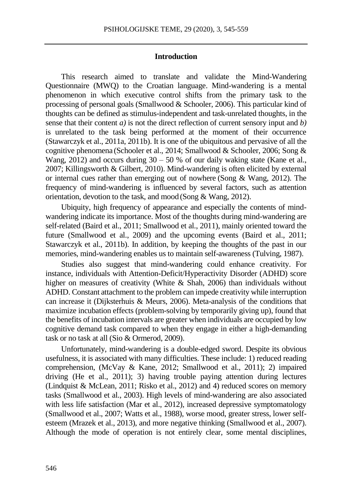#### **Introduction**

This research aimed to translate and validate the Mind-Wandering Questionnaire (MWQ) to the Croatian language. Mind-wandering is a mental phenomenon in which executive control shifts from the primary task to the processing of personal goals (Smallwood & Schooler, 2006). This particular kind of thoughts can be defined as stimulus-independent and task-unrelated thoughts, in the sense that their content *a)* is not the direct reflection of current sensory input and *b)* is unrelated to the task being performed at the moment of their occurrence (Stawarczyk et al., 2011a, 2011b). It is one of the ubiquitous and pervasive of all the cognitive phenomena (Schooler et al., 2014; Smallwood & Schooler, 2006; Song & Wang, 2012) and occurs during  $30 - 50$  % of our daily waking state (Kane et al., 2007; Killingsworth & Gilbert, 2010). Mind-wandering is often elicited by external or internal cues rather than emerging out of nowhere (Song & Wang, 2012). The frequency of mind-wandering is influenced by several factors, such as attention orientation, devotion to the task, and mood (Song & Wang, 2012).

Ubiquity, high frequency of appearance and especially the contents of mindwandering indicate its importance. Most of the thoughts during mind-wandering are self-related (Baird et al., 2011; Smallwood et al., 2011), mainly oriented toward the future (Smallwood et al., 2009) and the upcoming events (Baird et al., 2011; Stawarczyk et al., 2011b). In addition, by keeping the thoughts of the past in our memories, mind-wandering enables us to maintain self-awareness (Tulving, 1987).

Studies also suggest that mind-wandering could enhance creativity. For instance, individuals with Attention-Deficit/Hyperactivity Disorder (ADHD) score higher on measures of creativity (White & Shah, 2006) than individuals without ADHD. Constant attachment to the problem can impede creativity while interruption can increase it (Dijksterhuis & Meurs, 2006). Meta-analysis of the conditions that maximize incubation effects (problem-solving by temporarily giving up), found that the benefits of incubation intervals are greater when individuals are occupied by low cognitive demand task compared to when they engage in either a high-demanding task or no task at all (Sio & Ormerod, 2009).

Unfortunately, mind-wandering is a double-edged sword. Despite its obvious usefulness, it is associated with many difficulties. These include: 1) reduced reading comprehension, (McVay & Kane, 2012; Smallwood et al., 2011); 2) impaired driving (He et al., 2011); 3) having trouble paying attention during lectures (Lindquist & McLean, 2011; Risko et al., 2012) and 4) reduced scores on memory tasks (Smallwood et al., 2003). High levels of mind-wandering are also associated with less life satisfaction (Mar et al., 2012), increased depressive symptomatology (Smallwood et al., 2007; Watts et al., 1988), worse mood, greater stress, lower selfesteem (Mrazek et al., 2013), and more negative thinking (Smallwood et al., 2007). Although the mode of operation is not entirely clear, some mental disciplines,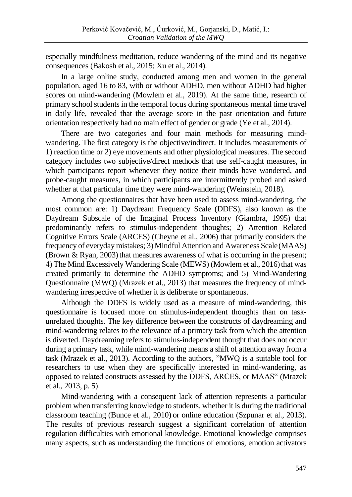especially mindfulness meditation, reduce wandering of the mind and its negative consequences (Bakosh et al., 2015; Xu et al., 2014).

In a large online study, conducted among men and women in the general population, aged 16 to 83, with or without ADHD, men without ADHD had higher scores on mind-wandering (Mowlem et al., 2019). At the same time, research of primary school students in the temporal focus during spontaneous mental time travel in daily life, revealed that the average score in the past orientation and future orientation respectively had no main effect of gender or grade (Ye et al., 2014).

There are two categories and four main methods for measuring mindwandering. The first category is the objective/indirect. It includes measurements of 1) reaction time or 2) eye movements and other physiological measures. The second category includes two subjective/direct methods that use self-caught measures, in which participants report whenever they notice their minds have wandered, and probe-caught measures, in which participants are intermittently probed and asked whether at that particular time they were mind-wandering (Weinstein, 2018).

Among the questionnaires that have been used to assess mind-wandering, the most common are: 1) Daydream Frequency Scale (DDFS), also known as the Daydream Subscale of the Imaginal Process Inventory (Giambra, 1995) that predominantly refers to stimulus-independent thoughts; 2) Attention Related Cognitive Errors Scale (ARCES) (Cheyne et al., 2006) that primarily considers the frequency of everyday mistakes; 3) Mindful Attention and Awareness Scale(MAAS) (Brown  $\&$  Ryan, 2003) that measures awareness of what is occurring in the present; 4) The Mind Excessively Wandering Scale (MEWS) (Mowlem et al., 2016) that was created primarily to determine the ADHD symptoms; and 5) Mind-Wandering Questionnaire (MWQ) (Mrazek et al., 2013) that measures the frequency of mindwandering irrespective of whether it is deliberate or spontaneous.

Although the DDFS is widely used as a measure of mind-wandering, this questionnaire is focused more on stimulus-independent thoughts than on taskunrelated thoughts. The key difference between the constructs of daydreaming and mind-wandering relates to the relevance of a primary task from which the attention is diverted. Daydreaming refers to stimulus-independent thought that does not occur during a primary task, while mind-wandering means a shift of attention away from a task (Mrazek et al., 2013). According to the authors, "MWQ is a suitable tool for researchers to use when they are specifically interested in mind-wandering, as opposed to related constructs assessed by the DDFS, ARCES, or MAAS" (Mrazek et al., 2013, p. 5).

Mind-wandering with a consequent lack of attention represents a particular problem when transferring knowledge to students, whether it is during the traditional classroom teaching (Bunce et al., 2010) or online education (Szpunar et al., 2013). The results of previous research suggest a significant correlation of attention regulation difficulties with emotional knowledge. Emotional knowledge comprises many aspects, such as understanding the functions of emotions, emotion activators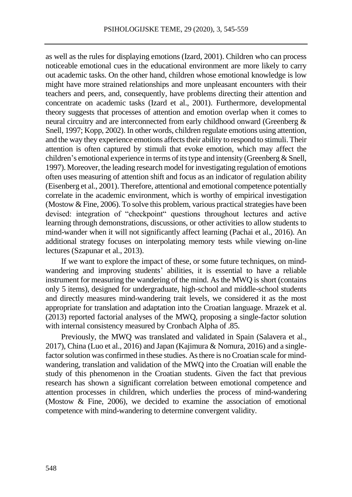as well as the rules for displaying emotions (Izard, 2001). Children who can process noticeable emotional cues in the educational environment are more likely to carry out academic tasks. On the other hand, children whose emotional knowledge is low might have more strained relationships and more unpleasant encounters with their teachers and peers, and, consequently, have problems directing their attention and concentrate on academic tasks (Izard et al., 2001). Furthermore, developmental theory suggests that processes of attention and emotion overlap when it comes to neural circuitry and are interconnected from early childhood onward (Greenberg & Snell, 1997; Kopp, 2002). In other words, children regulate emotions using attention, and the way they experience emotions affects their ability to respond to stimuli. Their attention is often captured by stimuli that evoke emotion, which may affect the children's emotional experience in terms of its type and intensity (Greenberg & Snell, 1997). Moreover, the leading research model for investigating regulation of emotions often uses measuring of attention shift and focus as an indicator of regulation ability (Eisenberg et al., 2001). Therefore, attentional and emotional competence potentially correlate in the academic environment, which is worthy of empirical investigation (Mostow & Fine, 2006). To solve this problem, various practical strategies have been devised: integration of "checkpoint" questions throughout lectures and active learning through demonstrations, discussions, or other activities to allow students to mind-wander when it will not significantly affect learning (Pachai et al., 2016). An additional strategy focuses on interpolating memory tests while viewing on-line lectures (Szapunar et al., 2013).

If we want to explore the impact of these, or some future techniques, on mindwandering and improving students' abilities, it is essential to have a reliable instrument for measuring the wandering of the mind. As the MWQ is short (contains only 5 items), designed for undergraduate, high-school and middle-school students and directly measures mind-wandering trait levels, we considered it as the most appropriate for translation and adaptation into the Croatian language. Mrazek et al. (2013) reported factorial analyses of the MWQ, proposing a single-factor solution with internal consistency measured by Cronbach Alpha of .85.

Previously, the MWQ was translated and validated in Spain (Salavera et al., 2017), China (Luo et al., 2016) and Japan (Kajimura & Nomura, 2016) and a singlefactor solution was confirmed in these studies. As there is no Croatian scale for mindwandering, translation and validation of the MWQ into the Croatian will enable the study of this phenomenon in the Croatian students. Given the fact that previous research has shown a significant correlation between emotional competence and attention processes in children, which underlies the process of mind-wandering (Mostow & Fine, 2006), we decided to examine the association of emotional competence with mind-wandering to determine convergent validity.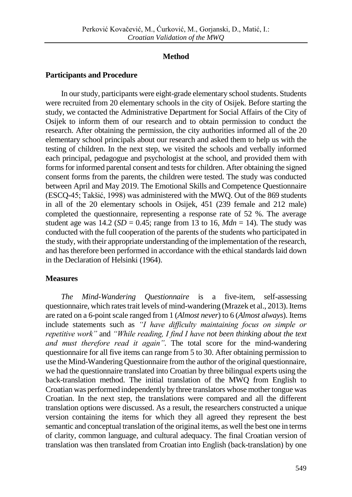## **Method**

## **Participants and Procedure**

In our study, participants were eight-grade elementary school students. Students were recruited from 20 elementary schools in the city of Osijek. Before starting the study, we contacted the Administrative Department for Social Affairs of the City of Osijek to inform them of our research and to obtain permission to conduct the research. After obtaining the permission, the city authorities informed all of the 20 elementary school principals about our research and asked them to help us with the testing of children. In the next step, we visited the schools and verbally informed each principal, pedagogue and psychologist at the school, and provided them with forms for informed parental consent and tests for children. After obtaining the signed consent forms from the parents, the children were tested. The study was conducted between April and May 2019. The Emotional Skills and Competence Questionnaire (ESCQ-45; Takšić, 1998) was administered with the MWQ. Out of the 869 students in all of the 20 elementary schools in Osijek, 451 (239 female and 212 male) completed the questionnaire, representing a response rate of 52 %. The average student age was  $14.2$  (*SD* = 0.45; range from 13 to 16, *Mdn* = 14). The study was conducted with the full cooperation of the parents of the students who participated in the study, with their appropriate understanding of the implementation of the research, and has therefore been performed in accordance with the ethical standards laid down in the Declaration of Helsinki (1964).

# **Measures**

*The Mind-Wandering Questionnaire* is a five-item, self-assessing questionnaire, which rates trait levels of mind-wandering (Mrazek et al., 2013). Items are rated on a 6-point scale ranged from 1 (*Almost never*) to 6 (*Almost always*). Items include statements such as *"I have difficulty maintaining focus on simple or repetitive work"* and *"While reading, I find I have not been thinking about the text and must therefore read it again"*. The total score for the mind-wandering questionnaire for all five items can range from 5 to 30. After obtaining permission to use the Mind-Wandering Questionnaire from the author of the original questionnaire, we had the questionnaire translated into Croatian by three bilingual experts using the back-translation method. The initial translation of the MWQ from English to Croatian was performed independently by three translators whose mother tongue was Croatian. In the next step, the translations were compared and all the different translation options were discussed. As a result, the researchers constructed a unique version containing the items for which they all agreed they represent the best semantic and conceptual translation of the original items, as well the best one in terms of clarity, common language, and cultural adequacy. The final Croatian version of translation was then translated from Croatian into English (back-translation) by one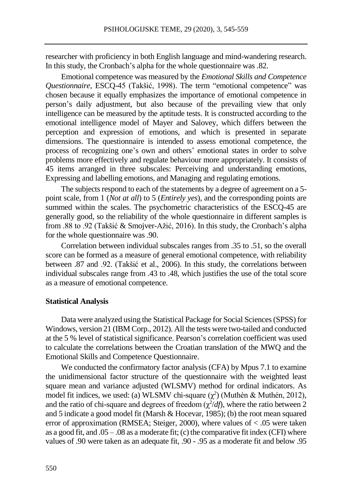researcher with proficiency in both English language and mind-wandering research. In this study, the Cronbach's alpha for the whole questionnaire was .82.

Emotional competence was measured by the *Emotional Skills and Competence Questionnaire*, ESCQ-45 (Takšić, 1998). The term "emotional competence" was chosen because it equally emphasizes the importance of emotional competence in person's daily adjustment, but also because of the prevailing view that only intelligence can be measured by the aptitude tests. It is constructed according to the emotional intelligence model of Mayer and Salovey, which differs between the perception and expression of emotions, and which is presented in separate dimensions. The questionnaire is intended to assess emotional competence, the process of recognizing one's own and others' emotional states in order to solve problems more effectively and regulate behaviour more appropriately. It consists of 45 items arranged in three subscales: Perceiving and understanding emotions, Expressing and labelling emotions, and Managing and regulating emotions.

The subjects respond to each of the statements by a degree of agreement on a 5 point scale, from 1 (*Not at all*) to 5 (*Entirely yes*), and the corresponding points are summed within the scales. The psychometric characteristics of the ESCQ-45 are generally good, so the reliability of the whole questionnaire in different samples is from .88 to .92 (Takšić & Smojver-Ažić, 2016). In this study, the Cronbach's alpha for the whole questionnaire was .90.

Correlation between individual subscales ranges from .35 to .51, so the overall score can be formed as a measure of general emotional competence, with reliability between .87 and .92. (Takšić et al., 2006). In this study, the correlations between individual subscales range from .43 to .48, which justifies the use of the total score as a measure of emotional competence.

#### **Statistical Analysis**

Data were analyzed using the Statistical Package for Social Sciences (SPSS) for Windows, version 21 (IBM Corp., 2012). All the tests were two-tailed and conducted at the 5 % level of statistical significance. Pearson's correlation coefficient was used to calculate the correlations between the Croatian translation of the MWQ and the Emotional Skills and Competence Questionnaire.

We conducted the confirmatory factor analysis (CFA) by Mpus 7.1 to examine the unidimensional factor structure of the questionnaire with the weighted least square mean and variance adjusted (WLSMV) method for ordinal indicators. As model fit indices, we used: (a) WLSMV chi-square  $(\chi^2)$  (Muthén & Muthén, 2012), and the ratio of chi-square and degrees of freedom  $(\chi^2/df)$ , where the ratio between 2 and 5 indicate a good model fit (Marsh & Hocevar, 1985); (b) the root mean squared error of approximation (RMSEA; Steiger, 2000), where values of < .05 were taken as a good fit, and  $.05 - .08$  as a moderate fit; (c) the comparative fit index (CFI) where values of .90 were taken as an adequate fit, .90 - .95 as a moderate fit and below .95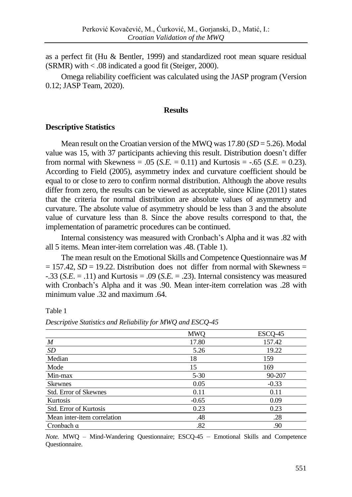as a perfect fit (Hu & Bentler, 1999) and standardized root mean square residual (SRMR) with < .08 indicated a good fit (Steiger, 2000).

Omega reliability coefficient was calculated using the JASP program (Version 0.12; JASP Team, 2020).

#### **Results**

### **Descriptive Statistics**

Mean result on the Croatian version of the MWQ was 17.80 (*SD* = 5.26). Modal value was 15, with 37 participants achieving this result. Distribution doesn't differ from normal with Skewness = .05 (*S.E.* = 0.11) and Kurtosis =  $-.65$  (*S.E.* = 0.23). According to Field (2005), asymmetry index and curvature coefficient should be equal to or close to zero to confirm normal distribution. Although the above results differ from zero, the results can be viewed as acceptable, since Kline (2011) states that the criteria for normal distribution are absolute values of asymmetry and curvature. The absolute value of asymmetry should be less than 3 and the absolute value of curvature less than 8. Since the above results correspond to that, the implementation of parametric procedures can be continued.

Internal consistency was measured with Cronbach's Alpha and it was .82 with all 5 items. Mean inter-item correlation was .48. (Table 1).

The mean result on the Emotional Skills and Competence Questionnaire was *M*  $= 157.42$ ,  $SD = 19.22$ . Distribution does not differ from normal with Skewness = -.33 (*S.E*. = .11) and Kurtosis = .09 (*S.E.* = .23). Internal consistency was measured with Cronbach's Alpha and it was .90. Mean inter-item correlation was .28 with minimum value .32 and maximum .64.

Table 1

|                               | <b>MWO</b> | ESCQ-45 |
|-------------------------------|------------|---------|
| M                             | 17.80      | 157.42  |
| SD                            | 5.26       | 19.22   |
| Median                        | 18         | 159     |
| Mode                          | 15         | 169     |
| Min-max                       | $5 - 30$   | 90-207  |
| <b>Skewnes</b>                | 0.05       | $-0.33$ |
| <b>Std. Error of Skewnes</b>  | 0.11       | 0.11    |
| Kurtosis                      | $-0.65$    | 0.09    |
| <b>Std. Error of Kurtosis</b> | 0.23       | 0.23    |
| Mean inter-item correlation   | .48        | .28     |
| Cronbach a                    | .82        | .90     |

*Descriptive Statistics and Reliability for MWQ and ESCQ-45* 

*Note.* MWQ – Mind-Wandering Questionnaire; ESCQ-45 – Emotional Skills and Competence Questionnaire.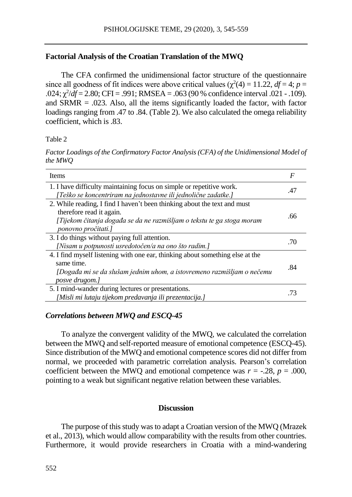### **Factorial Analysis of the Croatian Translation of the MWQ**

The CFA confirmed the unidimensional factor structure of the questionnaire since all goodness of fit indices were above critical values  $(\chi^2(4) = 11.22, df = 4; p = 11.22)$  $0.024$ ;  $\chi^2/df = 2.80$ ; CFI = .991; RMSEA = .063 (90 % confidence interval .021 - .109). and  $SRMR = .023$ . Also, all the items significantly loaded the factor, with factor loadings ranging from .47 to .84. (Table 2). We also calculated the omega reliability coefficient, which is .83.

Table 2

*Factor Loadings of the Confirmatory Factor Analysis (CFA) of the Unidimensional Model of the MWQ*

| <b>Items</b>                                                                                                                                                                                          | F   |
|-------------------------------------------------------------------------------------------------------------------------------------------------------------------------------------------------------|-----|
| 1. I have difficulty maintaining focus on simple or repetitive work.<br>[Teško se koncentriram na jednostavne ili jednolične zadatke.]                                                                | .47 |
| 2. While reading, I find I haven't been thinking about the text and must<br>therefore read it again.<br>[Tijekom čitanja događa se da ne razmišljam o tekstu te ga stoga moram<br>ponovno pročitati.] | .66 |
| 3. I do things without paying full attention.<br>[Nisam u potpunosti usredotočen/a na ono što radim.]                                                                                                 | .70 |
| 4. I find myself listening with one ear, thinking about something else at the<br>same time.<br>[Događa mi se da slušam jednim uhom, a istovremeno razmišljam o nečemu<br>posve drugom.]               | .84 |
| 5. I mind-wander during lectures or presentations.<br>[Misli mi lutaju tijekom predavanja ili prezentacija.]                                                                                          | -73 |

### *Correlations between MWQ and ESCQ-45*

To analyze the convergent validity of the MWQ, we calculated the correlation between the MWQ and self-reported measure of emotional competence (ESCQ-45). Since distribution of the MWQ and emotional competence scores did not differ from normal, we proceeded with parametric correlation analysis. Pearson's correlation coefficient between the MWQ and emotional competence was  $r = -0.28$ ,  $p = 0.000$ , pointing to a weak but significant negative relation between these variables.

#### **Discussion**

The purpose of this study was to adapt a Croatian version of the MWQ (Mrazek et al., 2013), which would allow comparability with the results from other countries. Furthermore, it would provide researchers in Croatia with a mind-wandering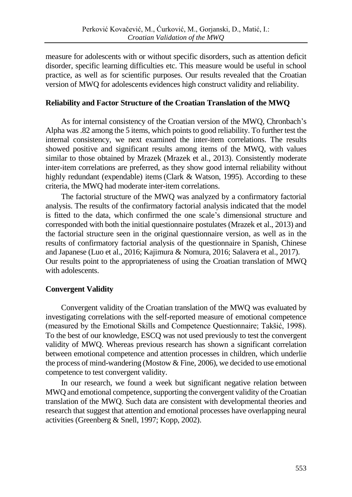measure for adolescents with or without specific disorders, such as attention deficit disorder, specific learning difficulties etc. This measure would be useful in school practice, as well as for scientific purposes. Our results revealed that the Croatian version of MWQ for adolescents evidences high construct validity and reliability.

## **Reliability and Factor Structure of the Croatian Translation of the MWQ**

As for internal consistency of the Croatian version of the MWQ, Chronbach's Alpha was .82 among the 5 items, which points to good reliability. To further test the internal consistency, we next examined the inter-item correlations. The results showed positive and significant results among items of the MWQ, with values similar to those obtained by Mrazek (Mrazek et al., 2013). Consistently moderate inter-item correlations are preferred, as they show good internal reliability without highly redundant (expendable) items (Clark & Watson, 1995). According to these criteria, the MWQ had moderate inter-item correlations.

The factorial structure of the MWQ was analyzed by a confirmatory factorial analysis. The results of the confirmatory factorial analysis indicated that the model is fitted to the data, which confirmed the one scale's dimensional structure and corresponded with both the initial questionnaire postulates (Mrazek et al., 2013) and the factorial structure seen in the original questionnaire version, as well as in the results of confirmatory factorial analysis of the questionnaire in Spanish, Chinese and Japanese (Luo et al., 2016; Kajimura & Nomura, 2016; Salavera et al., 2017). Our results point to the appropriateness of using the Croatian translation of MWQ with adolescents.

# **Convergent Validity**

Convergent validity of the Croatian translation of the MWQ was evaluated by investigating correlations with the self-reported measure of emotional competence (measured by the Emotional Skills and Competence Questionnaire; Takšić, 1998). To the best of our knowledge, ESCQ was not used previously to test the convergent validity of MWQ. Whereas previous research has shown a significant correlation between emotional competence and attention processes in children, which underlie the process of mind-wandering (Mostow & Fine, 2006), we decided to use emotional competence to test convergent validity.

In our research, we found a week but significant negative relation between MWQ and emotional competence, supporting the convergent validity of the Croatian translation of the MWQ. Such data are consistent with developmental theories and research that suggest that attention and emotional processes have overlapping neural activities (Greenberg & Snell, 1997; Kopp, 2002).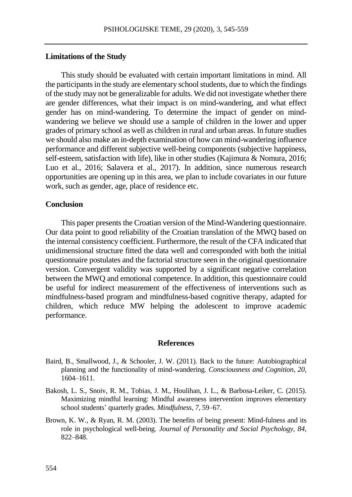#### **Limitations of the Study**

This study should be evaluated with certain important limitations in mind. All the participants in the study are elementary school students, due to which the findings of the study may not be generalizable for adults. We did not investigate whether there are gender differences, what their impact is on mind-wandering, and what effect gender has on mind-wandering. To determine the impact of gender on mindwandering we believe we should use a sample of children in the lower and upper grades of primary school as well as children in rural and urban areas. In future studies we should also make an in-depth examination of how can mind-wandering influence performance and different subjective well-being components (subjective happiness, self-esteem, satisfaction with life), like in other studies (Kajimura & Nomura, 2016; Luo et al., 2016; Salavera et al., 2017). In addition, since numerous research opportunities are opening up in this area, we plan to include covariates in our future work, such as gender, age, place of residence etc.

#### **Conclusion**

This paper presents the Croatian version of the Mind-Wandering questionnaire. Our data point to good reliability of the Croatian translation of the MWQ based on the internal consistency coefficient. Furthermore, the result of the CFA indicated that unidimensional structure fitted the data well and corresponded with both the initial questionnaire postulates and the factorial structure seen in the original questionnaire version. Convergent validity was supported by a significant negative correlation between the MWQ and emotional competence. In addition, this questionnaire could be useful for indirect measurement of the effectiveness of interventions such as mindfulness-based program and mindfulness-based cognitive therapy, adapted for children, which reduce MW helping the adolescent to improve academic performance.

#### **References**

- Baird, B., Smallwood, J., & Schooler, J. W. (2011). Back to the future: Autobiographical planning and the functionality of mind-wandering. *Consciousness and Cognition*, *20*, 1604–1611.
- Bakosh, L. S., Snoiv, R. M., Tobias, J. M., Houlihan, J. L., & Barbosa-Leiker, C. (2015). Maximizing mindful learning: Mindful awareness intervention improves elementary school students' quarterly grades. *Mindfulness*, *7*, 59–67.
- Brown, K. W., & Ryan, R. M. (2003). The benefits of being present: Mind-fulness and its role in psychological well-being. *Journal of Personality and Social Psychology, 84*, 822–848.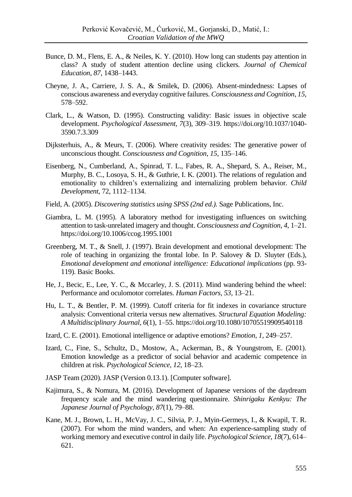- Bunce, D. M., Flens, E. A., & Neiles, K. Y. (2010). How long can students pay attention in class? A study of student attention decline using clickers. *Journal of Chemical Education*, *87*, 1438–1443.
- Cheyne, J. A., Carriere, J. S. A., & Smilek, D. (2006). Absent-mindedness: Lapses of conscious awareness and everyday cognitive failures. *Consciousness and Cognition, 15*, 578–592.
- Clark, L., & Watson, D. (1995). Constructing validity: Basic issues in objective scale development. *Psychological Assessment, 7*(3), 309–319. https:[//doi.org/10.1037/1040-](https://psycnet.apa.org/doi/10.1037/1040-3590.7.3.309) [3590.7.3.309](https://psycnet.apa.org/doi/10.1037/1040-3590.7.3.309)
- Dijksterhuis, A., & Meurs, T. (2006). Where creativity resides: The generative power of unconscious thought. *Consciousness and Cognition*, *15*, 135–146.
- Eisenberg, N., Cumberland, A., Spinrad, T. L., Fabes, R. A., Shepard, S. A., Reiser, M., Murphy, B. C., Losoya, S. H., & Guthrie, I. K. (2001). The relations of regulation and emotionality to children's externalizing and internalizing problem behavior. *Child Development*, 72, 1112–1134.
- Field, A. (2005). *Discovering statistics using SPSS (2nd ed.).* Sage Publications, Inc.
- Giambra, L. M. (1995). A laboratory method for investigating influences on switching attention to task-unrelated imagery and thought. *Consciousness and Cognition, 4*, 1–21. https://doi.org/10.1006/ccog.1995.1001
- Greenberg, M. T., & Snell, J. (1997). Brain development and emotional development: The role of teaching in organizing the frontal lobe. In P. Salovey & D. Sluyter (Eds.), *Emotional development and emotional intelligence: Educational implications* (pp. 93- 119). Basic Books.
- He, J., Becic, E., Lee, Y. C., & Mccarley, J. S. (2011). Mind wandering behind the wheel: Performance and oculomotor correlates. *Human Factors*, *53*, 13–21.
- Hu, L. T., & Bentler, P. M. (1999). Cutoff criteria for fit indexes in covariance structure analysis: Conventional criteria versus new alternatives. *Structural Equation Modeling: A Multidisciplinary Journal*, *6*(1), 1–55. https://doi.org/10.1080/10705519909540118
- Izard, C. E. (2001). Emotional intelligence or adaptive emotions? *Emotion*, *1*, 249–257.
- Izard, C., Fine, S., Schultz, D., Mostow, A., Ackerman, B., & Youngstrom, E. (2001). Emotion knowledge as a predictor of social behavior and academic competence in children at risk. *Psychological Science, 12*, 18–23.
- JASP Team (2020). JASP (Version 0.13.1). [Computer software].
- Kajimura, S., & Nomura, M. (2016). Development of Japanese versions of the daydream frequency scale and the mind wandering questionnaire. *Shinrigaku Kenkyu: The Japanese Journal of Psychology*, *87*(1), 79–88.
- Kane, M. J., Brown, L. H., McVay, J. C., Silvia, P. J., Myin-Germeys, I., & Kwapil, T. R. (2007). For whom the mind wanders, and when: An experience-sampling study of working memory and executive control in daily life. *Psychological Science*, *18*(7), 614– 621.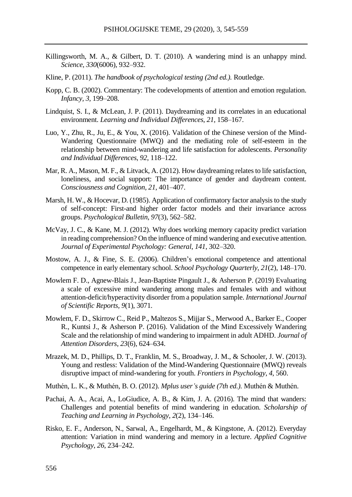- Killingsworth, M. A., & Gilbert, D. T. (2010). A wandering mind is an unhappy mind. *Science*, *330*(6006), 932–932.
- Kline, P. (2011). *The handbook of psychological testing (2nd ed.).* Routledge.
- Kopp, C. B. (2002). Commentary: The codevelopments of attention and emotion regulation. *Infancy, 3,* 199–208.
- Lindquist, S. I., & McLean, J. P. (2011). Daydreaming and its correlates in an educational environment. *Learning and Individual Differences*, *21*, 158–167.
- Luo, Y., Zhu, R., Ju, E., & You, X. (2016). Validation of the Chinese version of the Mind-Wandering Questionnaire (MWQ) and the mediating role of self-esteem in the relationship between mind-wandering and life satisfaction for adolescents. *Personality and Individual Differences*, *92*, 118–122.
- Mar, R. A., Mason, M. F., & Litvack, A. (2012). How daydreaming relates to life satisfaction, loneliness, and social support: The importance of gender and daydream content. *Consciousness and Cognition, 21*, 401–407.
- Marsh, H. W., & Hocevar, D. (1985). Application of confirmatory factor analysis to the study of self-concept: First-and higher order factor models and their invariance across groups. *Psychological Bulletin*, *97*(3), 562–582.
- McVay, J. C., & Kane, M. J. (2012). Why does working memory capacity predict variation in reading comprehension? On the influence of mind wandering and executive attention. *Journal of Experimental Psychology: General*, *141*, 302–320.
- Mostow, A. J., & Fine, S. E. (2006). Children's emotional competence and attentional competence in early elementary school. *School Psychology Quarterly*, *21*(2), 148–170.
- Mowlem F. D., Agnew-Blais J., Jean-Baptiste Pingault J., & Asherson P. (2019) Evaluating a scale of excessive mind wandering among males and females with and without attention-deficit/hyperactivity disorder from a population sample. *International Journal of Scientific Reports, 9*(1), 3071.
- Mowlem, F. D., Skirrow C., Reid P., Maltezos S., Mijjar S., Merwood A., Barker E., Cooper R., Kuntsi J., & Asherson P. (2016). Validation of the Mind Excessively Wandering Scale and the relationship of mind wandering to impairment in adult ADHD. *Journal of Attention Disorders*, *23*(6), 624–634.
- Mrazek, M. D., Phillips, D. T., Franklin, M. S., Broadway, J. M., & Schooler, J. W. (2013). Young and restless: Validation of the Mind-Wandering Questionnaire (MWQ) reveals disruptive impact of mind-wandering for youth. *Frontiers in Psychology*, *4*, 560.
- Muthén, L. K., & Muthén, B. O. (2012). *Mplus user's guide (7th ed.).* Muthén & Muthén.
- Pachai, A. A., Acai, A., LoGiudice, A. B., & Kim, J. A. (2016). The mind that wanders: Challenges and potential benefits of mind wandering in education. *Scholarship of Teaching and Learning in Psychology*, *2*(2), 134–146.
- Risko, E. F., Anderson, N., Sarwal, A., Engelhardt, M., & Kingstone, A. (2012). Everyday attention: Variation in mind wandering and memory in a lecture. *Applied Cognitive Psychology*, *26*, 234–242.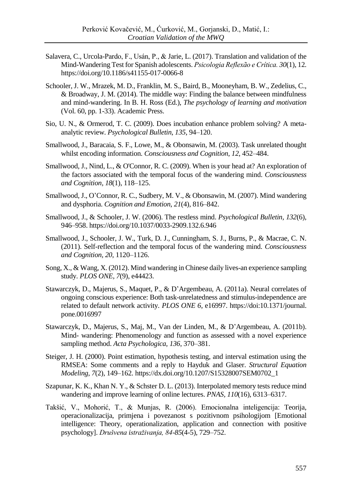- Salavera, C., Urcola-Pardo, F., Usán, P., & Jarie, L. (2017). Translation and validation of the Mind-Wandering Test for Spanish adolescents. *Psicologia Reflexão e Crítica. 30*(1), 12. https:/[/doi.org/10.1186/s41155-017-0066-8](https://doiorg/10.1186/s41155-017-0066-8)
- Schooler, J. W., Mrazek, M. D., Franklin, M. S., Baird, B., Mooneyham, B. W., Zedelius, C., & Broadway, J. M. (2014). The middle way: Finding the balance between mindfulness and mind-wandering. In B. H. Ross (Ed.), *The psychology of learning and motivation* (Vol. 60, pp. 1-33). Academic Press.
- Sio, U. N., & Ormerod, T. C. (2009). Does incubation enhance problem solving? A metaanalytic review. *Psychological Bulletin*, *135*, 94–120.
- Smallwood, J., Baracaia, S. F., Lowe, M., & Obonsawin, M. (2003). Task unrelated thought whilst encoding information. *Consciousness and Cognition*, *12*, 452–484.
- Smallwood, J., Nind, L., & O'Connor, R. C. (2009). When is your head at? An exploration of the factors associated with the temporal focus of the wandering mind. *Consciousness and Cognition, 18*(1), 118–125.
- Smallwood, J., O'Connor, R. C., Sudbery, M. V., & Obonsawin, M. (2007). Mind wandering and dysphoria. *Cognition and Emotion*, *21*(4), 816–842.
- Smallwood, J., & Schooler, J. W. (2006). The restless mind. *Psychological Bulletin, 132*(6), 946–958. https://doi.org/10.1037/0033-2909.132.6.946
- Smallwood, J., Schooler, J. W., Turk, D. J., Cunningham, S. J., Burns, P., & Macrae, C. N. (2011). Self-reflection and the temporal focus of the wandering mind. *Consciousness and Cognition, 20*, 1120–1126.
- Song, X., & Wang, X. (2012). Mind wandering in Chinese daily lives-an experience sampling study. *PLOS ONE, 7*(9), e44423.
- Stawarczyk, D., Majerus, S., Maquet, P., & D'Argembeau, A. (2011a). Neural correlates of ongoing conscious experience: Both task-unrelatedness and stimulus-independence are related to default network activity. *PLOS ONE 6*, e16997. https://doi:10.1371/journal. pone.0016997
- Stawarczyk, D., Majerus, S., Maj, M., Van der Linden, M., & D'Argembeau, A. (2011b). Mind- wandering: Phenomenology and function as assessed with a novel experience sampling method. *Acta Psychologica, 136*, 370–381.
- Steiger, J. H. (2000). Point estimation, hypothesis testing, and interval estimation using the RMSEA: Some comments and a reply to Hayduk and Glaser. *Structural Equation Modeling*, *7*(2), 149–162. https://dx.doi.org/10.1207/S15328007SEM0702\_1
- Szapunar, K. K., Khan N. Y., & Schster D. L. (2013). Interpolated memory tests reduce mind wandering and improve learning of online lectures. *PNAS, 110*(16), 6313–6317.
- Takšić, V., Mohorić, T., & Munjas, R. (2006). Emocionalna inteligencija: Teorija, operacionalizacija, primjena i povezanost s pozitivnom psihologijom [Emotional intelligence: Theory, operationalization, application and connection with positive psychology]. *Drušvena istraživanja, 84-85*(4-5), 729–752.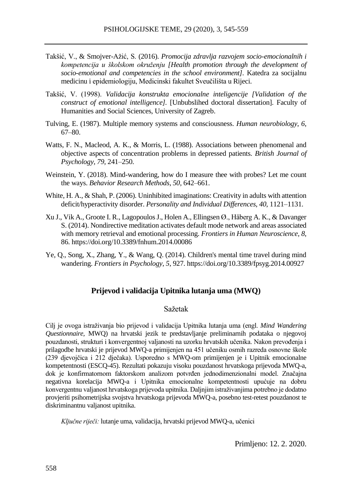- Takšić, V., & Smojver-Ažić, S. (2016). *Promocija zdravlja razvojem socio-emocionalnih i kompetencija u školskom okruženju [Health promotion through the development of socio-emotional and competencies in the school environment].* Katedra za socijalnu medicinu i epidemiologiju, Medicinski fakultet Sveučilišta u Rijeci.
- Takšić, V. (1998). *Validacija konstrukta emocionalne inteligencije [Validation of the construct of emotional intelligence].* [Unbubslihed doctoral dissertation]. Faculty of Humanities and Social Sciences, University of Zagreb.
- Tulving, E. (1987). Multiple memory systems and consciousness. *Human neurobiology*, *6*, 67–80.
- Watts, F. N., Macleod, A. K., & Morris, L. (1988). Associations between phenomenal and objective aspects of concentration problems in depressed patients. *British Journal of Psychology, 79*, 241–250.
- Weinstein, Y. (2018). Mind-wandering, how do I measure thee with probes? Let me count the ways. *Behavior Research Methods*, *50*, 642–661.
- White, H. A., & Shah, P. (2006). Uninhibited imaginations: Creativity in adults with attention deficit/hyperactivity disorder. *Personality and Individual Differences*, *40*, 1121–1131.
- [Xu](https://www.ncbi.nlm.nih.gov/pubmed/?term=Xu%20J%5BAuthor%5D&cauthor=true&cauthor_uid=24616684) J.[, Vik](https://www.ncbi.nlm.nih.gov/pubmed/?term=Vik%20A%5BAuthor%5D&cauthor=true&cauthor_uid=24616684) A.[, Groote](https://www.ncbi.nlm.nih.gov/pubmed/?term=Groote%20IR%5BAuthor%5D&cauthor=true&cauthor_uid=24616684) I. R.[, LagopoulosJ](https://www.ncbi.nlm.nih.gov/pubmed/?term=Lagopoulos%20J%5BAuthor%5D&cauthor=true&cauthor_uid=24616684).[, Holen](https://www.ncbi.nlm.nih.gov/pubmed/?term=Holen%20A%5BAuthor%5D&cauthor=true&cauthor_uid=24616684) A.[, Ellingsen](https://www.ncbi.nlm.nih.gov/pubmed/?term=Ellingsen%20%26%23x000d8%3B%5BAuthor%5D&cauthor=true&cauthor_uid=24616684) Ø.[, Håberg](https://www.ncbi.nlm.nih.gov/pubmed/?term=H%26%23x000e5%3Bberg%20AK%5BAuthor%5D&cauthor=true&cauthor_uid=24616684) A. K., [& Davanger](https://www.ncbi.nlm.nih.gov/pubmed/?term=Davanger%20S%5BAuthor%5D&cauthor=true&cauthor_uid=24616684) S. (2014). Nondirective meditation activates default mode network and areas associated with memory retrieval and emotional processing. *Frontiers in Human Neuroscience, 8*, 86. https://doi.org/10.3389/fnhum.2014.00086
- Ye, Q., Song, X., Zhang, Y., & Wang, Q. (2014). Children's mental time travel during mind wandering. *Frontiers in Psychology*, *5*, 927. https://doi.org/10.3389/fpsyg.2014.00927

#### **Prijevod i validacija Upitnika lutanja uma (MWQ)**

#### Sažetak

Cilj je ovoga istraživanja bio prijevod i validacija Upitnika lutanja uma (engl. *Mind Wandering Questionnaire,* MWQ) na hrvatski jezik te predstavljanje preliminarnih podataka o njegovoj pouzdanosti, strukturi i konvergentnoj valjanosti na uzorku hrvatskih učenika. Nakon prevođenja i prilagodbe hrvatski je prijevod MWQ-a primijenjen na 451 učeniku osmih razreda osnovne škole (239 djevojčica i 212 dječaka). Usporedno s MWQ-om primijenjen je i Upitnik emocionalne kompetentnosti (ESCQ-45). Rezultati pokazuju visoku pouzdanost hrvatskoga prijevoda MWQ-a, dok je konfirmatornom faktorskom analizom potvrđen jednodimenzionalni model. Značajna negativna korelacija MWQ-a i Upitnika emocionalne kompetentnosti upućuje na dobru konvergentnu valjanost hrvatskoga prijevoda upitnika. Daljnjim istraživanjima potrebno je dodatno provjeriti psihometrijska svojstva hrvatskoga prijevoda MWQ-a, posebno test-retest pouzdanost te diskriminantnu valjanost upitnika.

*Ključne riječi:* lutanje uma, validacija, hrvatski prijevod MWQ-a, učenici

Primljeno: 12. 2. 2020.